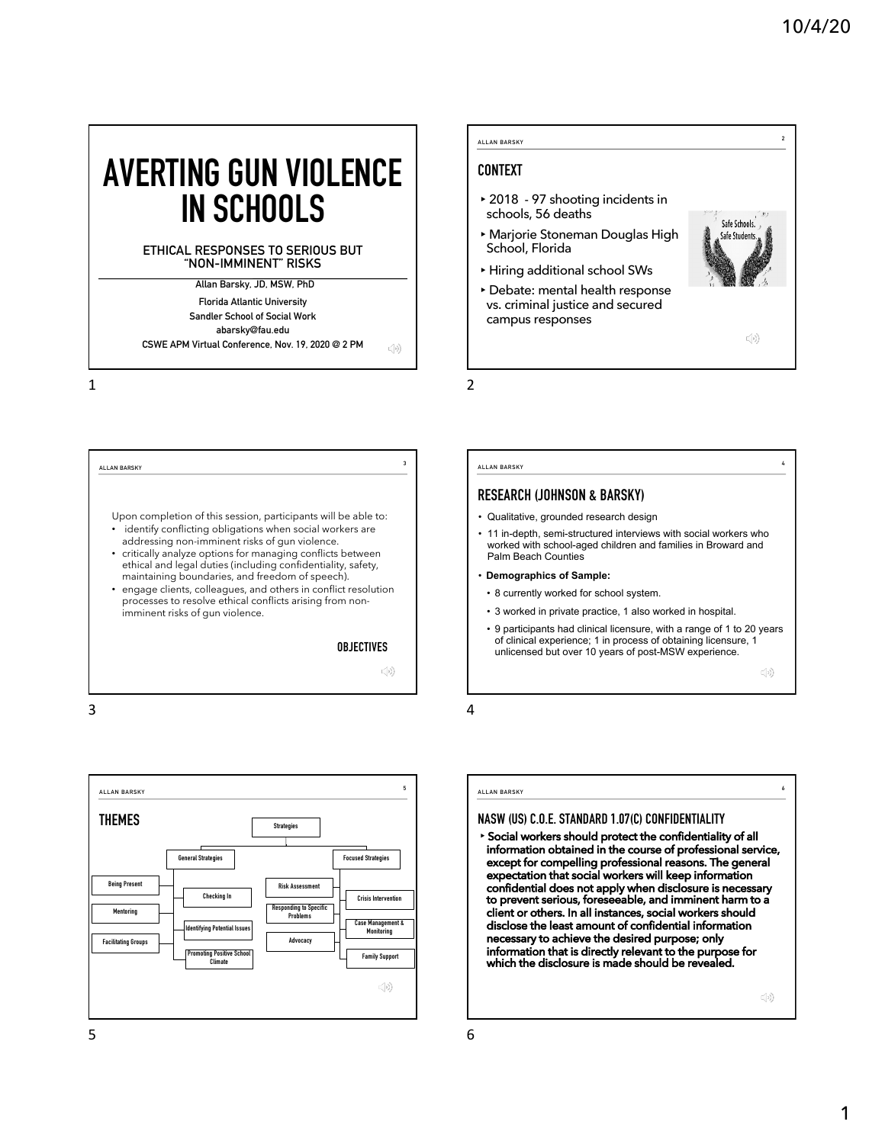**2**

**4**

# **AVERTING GUN VIOLENCE IN SCHOOLS**

### **ETHICAL RESPONSES TO SERIOUS BUT "NON-IMMINENT" RISKS**

• identify conflicting obligations when social workers are addressing non-imminent risks of gun violence. • critically analyze options for managing conflicts between ethical and legal duties (including confidentiality, safety, maintaining boundaries, and freedom of speech). • engage clients, colleagues, and others in conflict resolution processes to resolve ethical conflicts arising from non-

imminent risks of gun violence.

**Allan Barsky, JD, MSW, PhD Florida Atlantic University Sandler School of Social Work abarsky@fau.edu CSWE APM Virtual Conference, Nov. 19, 2020 @ 2 PM**

1

3



**ALLAN BARSKY**

- **Demographics of Sample:**
- 8 currently worked for school system.
- 3 worked in private practice, 1 also worked in hospital.
- 9 participants had clinical licensure, with a range of 1 to 20 years of clinical experience; 1 in process of obtaining licensure, 1 unlicensed but over 10 years of post-MSW experience.

 $\mathbb{C}[\imath)\big)$ 

**6**

4

**OBJECTIVES** 

 $\mathbb{C}(\mathfrak{p})$ 



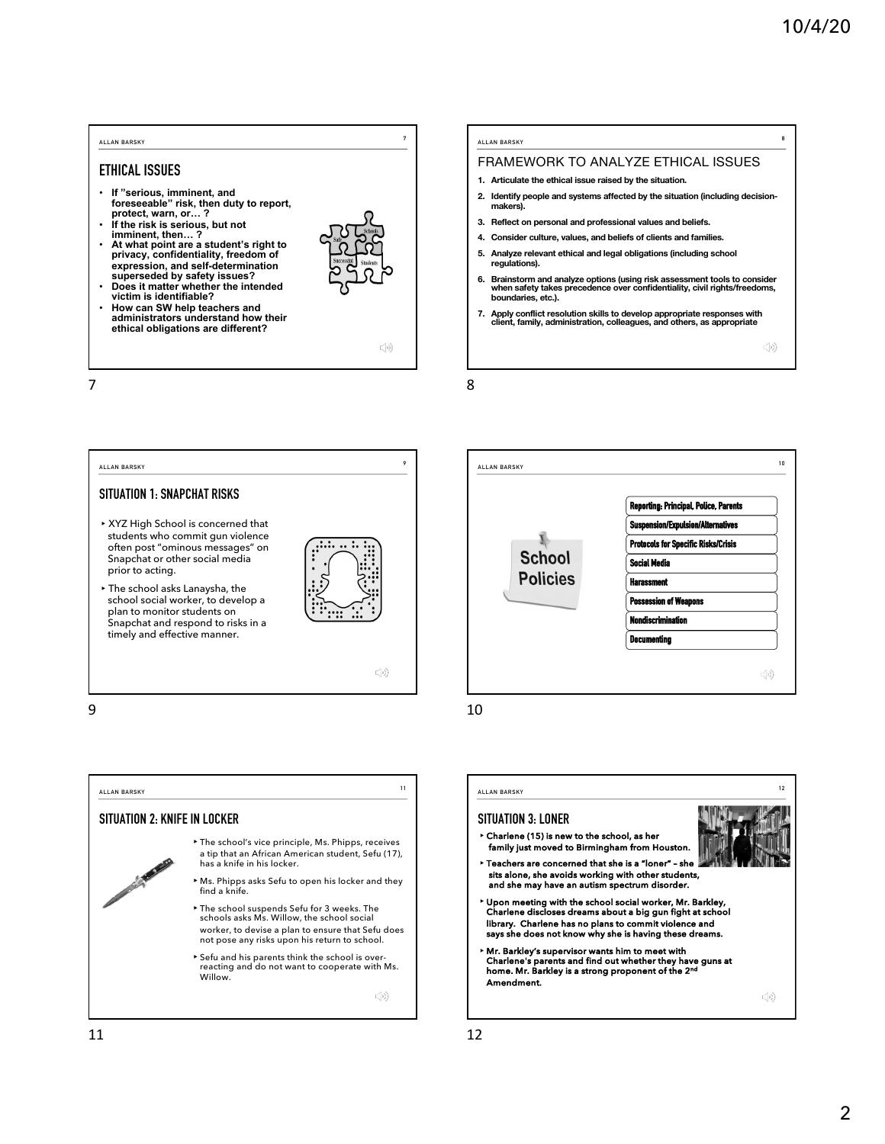